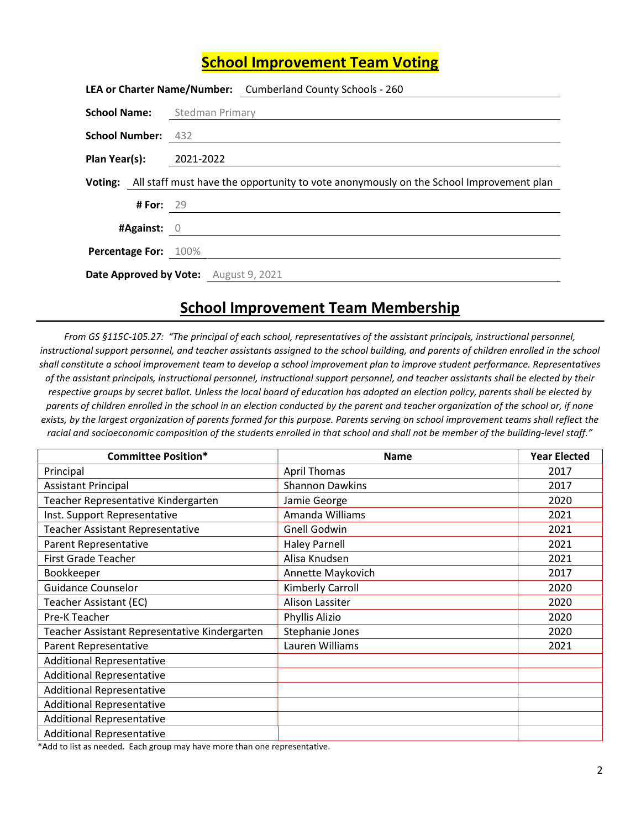## School Improvement Team Voting

|                                              |                  | LEA or Charter Name/Number: Cumberland County Schools - 260                                    |
|----------------------------------------------|------------------|------------------------------------------------------------------------------------------------|
| <b>School Name:</b> Stedman Primary          |                  |                                                                                                |
| <b>School Number: 432</b>                    |                  |                                                                                                |
| Plan Year(s): 2021-2022                      |                  |                                                                                                |
|                                              |                  | Voting: All staff must have the opportunity to vote anonymously on the School Improvement plan |
|                                              | <b># For:</b> 29 |                                                                                                |
| #Against: 0                                  |                  |                                                                                                |
| Percentage For: 100%                         |                  |                                                                                                |
| <b>Date Approved by Vote:</b> August 9, 2021 |                  |                                                                                                |

## School Improvement Team Membership

From GS §115C-105.27: "The principal of each school, representatives of the assistant principals, instructional personnel, instructional support personnel, and teacher assistants assigned to the school building, and parents of children enrolled in the school shall constitute a school improvement team to develop a school improvement plan to improve student performance. Representatives of the assistant principals, instructional personnel, instructional support personnel, and teacher assistants shall be elected by their respective groups by secret ballot. Unless the local board of education has adopted an election policy, parents shall be elected by parents of children enrolled in the school in an election conducted by the parent and teacher organization of the school or, if none exists, by the largest organization of parents formed for this purpose. Parents serving on school improvement teams shall reflect the racial and socioeconomic composition of the students enrolled in that school and shall not be member of the building-level staff."

| <b>Committee Position*</b>                    | <b>Name</b>            | <b>Year Elected</b> |
|-----------------------------------------------|------------------------|---------------------|
| Principal                                     | April Thomas           | 2017                |
| <b>Assistant Principal</b>                    | <b>Shannon Dawkins</b> | 2017                |
| Teacher Representative Kindergarten           | Jamie George           | 2020                |
| Inst. Support Representative                  | Amanda Williams        | 2021                |
| <b>Teacher Assistant Representative</b>       | <b>Gnell Godwin</b>    | 2021                |
| Parent Representative                         | <b>Haley Parnell</b>   | 2021                |
| First Grade Teacher                           | Alisa Knudsen          | 2021                |
| Bookkeeper                                    | Annette Maykovich      | 2017                |
| <b>Guidance Counselor</b>                     | Kimberly Carroll       | 2020                |
| Teacher Assistant (EC)                        | Alison Lassiter        | 2020                |
| Pre-K Teacher                                 | Phyllis Alizio         | 2020                |
| Teacher Assistant Representative Kindergarten | Stephanie Jones        | 2020                |
| Parent Representative                         | Lauren Williams        | 2021                |
| <b>Additional Representative</b>              |                        |                     |
| <b>Additional Representative</b>              |                        |                     |
| <b>Additional Representative</b>              |                        |                     |
| <b>Additional Representative</b>              |                        |                     |
| <b>Additional Representative</b>              |                        |                     |
| <b>Additional Representative</b>              |                        |                     |

\*Add to list as needed. Each group may have more than one representative.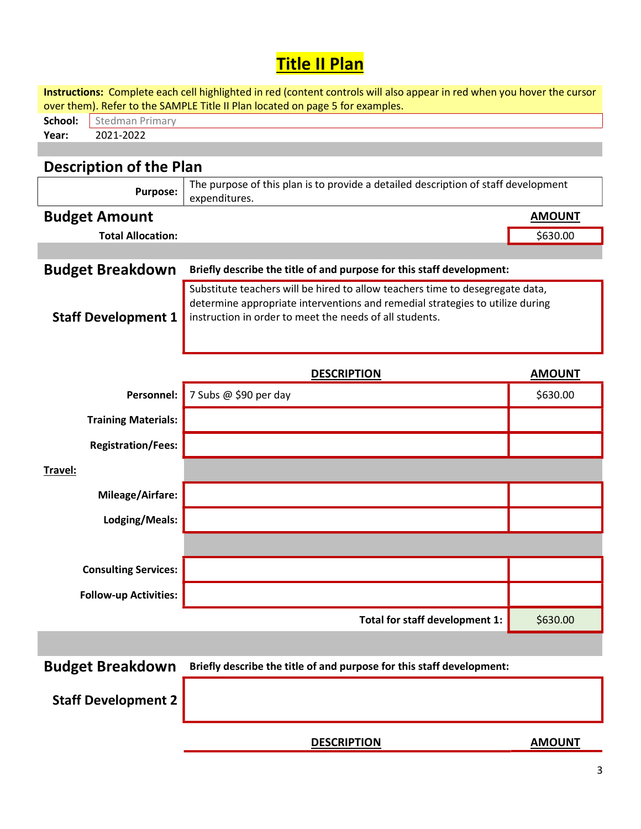## **Title II Plan**

|         |                                                                               | Instructions: Complete each cell highlighted in red (content controls will also appear in red when you hover the cursor |               |  |  |  |  |
|---------|-------------------------------------------------------------------------------|-------------------------------------------------------------------------------------------------------------------------|---------------|--|--|--|--|
|         | over them). Refer to the SAMPLE Title II Plan located on page 5 for examples. |                                                                                                                         |               |  |  |  |  |
| School: | <b>Stedman Primary</b><br>2021-2022                                           |                                                                                                                         |               |  |  |  |  |
| Year:   |                                                                               |                                                                                                                         |               |  |  |  |  |
|         | <b>Description of the Plan</b>                                                |                                                                                                                         |               |  |  |  |  |
|         |                                                                               | The purpose of this plan is to provide a detailed description of staff development                                      |               |  |  |  |  |
|         | <b>Purpose:</b>                                                               | expenditures.                                                                                                           |               |  |  |  |  |
|         | <b>Budget Amount</b>                                                          |                                                                                                                         | <b>AMOUNT</b> |  |  |  |  |
|         | <b>Total Allocation:</b>                                                      |                                                                                                                         | \$630.00      |  |  |  |  |
|         |                                                                               |                                                                                                                         |               |  |  |  |  |
|         | <b>Budget Breakdown</b>                                                       | Briefly describe the title of and purpose for this staff development:                                                   |               |  |  |  |  |
|         |                                                                               | Substitute teachers will be hired to allow teachers time to desegregate data,                                           |               |  |  |  |  |
|         |                                                                               | determine appropriate interventions and remedial strategies to utilize during                                           |               |  |  |  |  |
|         | <b>Staff Development 1</b>                                                    | instruction in order to meet the needs of all students.                                                                 |               |  |  |  |  |
|         |                                                                               |                                                                                                                         |               |  |  |  |  |
|         |                                                                               |                                                                                                                         |               |  |  |  |  |
|         |                                                                               | <b>DESCRIPTION</b>                                                                                                      | <b>AMOUNT</b> |  |  |  |  |
|         | Personnel:                                                                    | 7 Subs @ \$90 per day                                                                                                   | \$630.00      |  |  |  |  |
|         | <b>Training Materials:</b>                                                    |                                                                                                                         |               |  |  |  |  |
|         | <b>Registration/Fees:</b>                                                     |                                                                                                                         |               |  |  |  |  |
| Travel: |                                                                               |                                                                                                                         |               |  |  |  |  |
|         | Mileage/Airfare:                                                              |                                                                                                                         |               |  |  |  |  |
|         | Lodging/Meals:                                                                |                                                                                                                         |               |  |  |  |  |
|         |                                                                               |                                                                                                                         |               |  |  |  |  |
|         | <b>Consulting Services:</b>                                                   |                                                                                                                         |               |  |  |  |  |
|         | <b>Follow-up Activities:</b>                                                  |                                                                                                                         |               |  |  |  |  |
|         |                                                                               |                                                                                                                         |               |  |  |  |  |
|         |                                                                               | Total for staff development 1:                                                                                          | \$630.00      |  |  |  |  |
|         |                                                                               |                                                                                                                         |               |  |  |  |  |
|         | <b>Budget Breakdown</b>                                                       | Briefly describe the title of and purpose for this staff development:                                                   |               |  |  |  |  |
|         |                                                                               |                                                                                                                         |               |  |  |  |  |
|         | <b>Staff Development 2</b>                                                    |                                                                                                                         |               |  |  |  |  |
|         |                                                                               |                                                                                                                         |               |  |  |  |  |
|         |                                                                               | <b>DESCRIPTION</b>                                                                                                      | <b>AMOUNT</b> |  |  |  |  |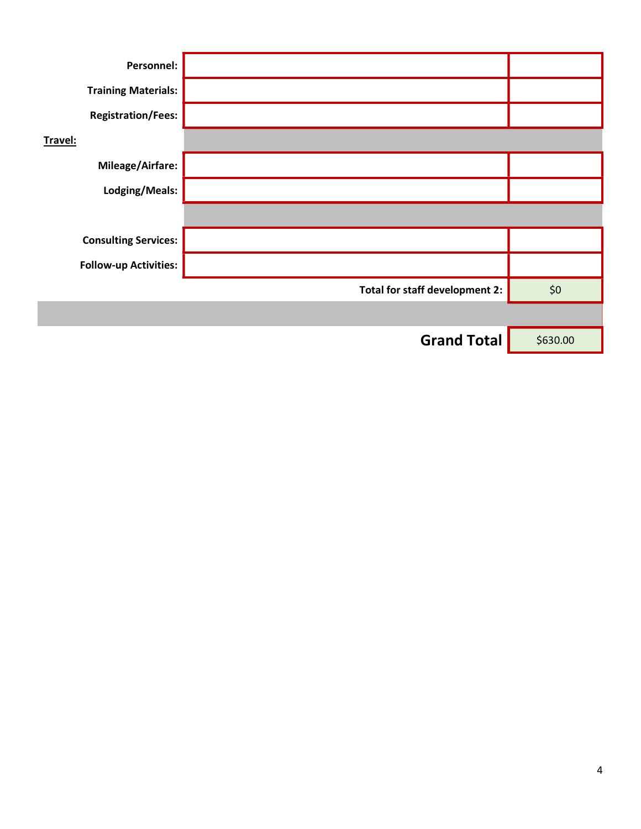| Personnel:                   |                                |          |
|------------------------------|--------------------------------|----------|
| <b>Training Materials:</b>   |                                |          |
| <b>Registration/Fees:</b>    |                                |          |
| Travel:                      |                                |          |
| Mileage/Airfare:             |                                |          |
| Lodging/Meals:               |                                |          |
|                              |                                |          |
| <b>Consulting Services:</b>  |                                |          |
| <b>Follow-up Activities:</b> |                                |          |
|                              | Total for staff development 2: | \$0      |
|                              |                                |          |
|                              | <b>Grand Total</b>             | \$630.00 |